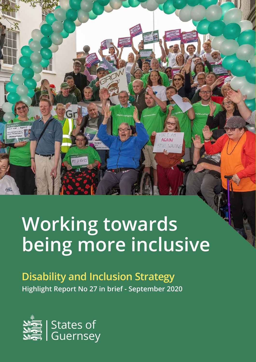

AGAIN STILL WAITING

**Disability and Inclusion Strategy Highlight Report No 27 in brief - September 2020**



100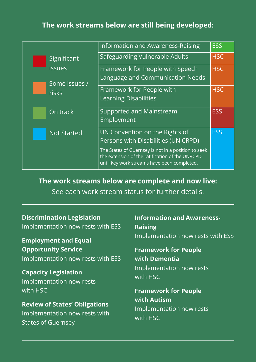#### **The work streams below are still being developed:**

|                    | Information and Awareness-Raising                                                                                                                     | <b>ESS</b> |
|--------------------|-------------------------------------------------------------------------------------------------------------------------------------------------------|------------|
| Significant        | Safeguarding Vulnerable Adults                                                                                                                        | <b>HSC</b> |
| <b>issues</b>      | Framework for People with Speech                                                                                                                      | <b>HSC</b> |
| Some issues /      | Language and Communication Needs                                                                                                                      |            |
| risks              | Framework for People with                                                                                                                             | <b>HSC</b> |
|                    | <b>Learning Disabilities</b>                                                                                                                          |            |
| On track           | Supported and Mainstream                                                                                                                              | <b>ESS</b> |
|                    | Employment                                                                                                                                            |            |
| <b>Not Started</b> | UN Convention on the Rights of                                                                                                                        | <b>ESS</b> |
|                    | Persons with Disabilities (UN CRPD)                                                                                                                   |            |
|                    | The States of Guernsey is not in a position to seek<br>the extension of the ratification of the UNRCPD<br>until key work streams have been completed. |            |

**The work streams below are complete and now live:**

See each work stream status for further details.

#### **Discrimination Legislation**

Implementation now rests with ESS

**Employment and Equal Opportunity Service**

Implementation now rests with ESS

**Capacity Legislation** Implementation now rests with HSC

**Review of States' Obligations** Implementation now rests with States of Guernsey

**Information and Awareness-Raising** Implementation now rests with ESS

#### **Framework for People with Dementia**

Implementation now rests with HSC

**Framework for People with Autism** Implementation now rests with HSC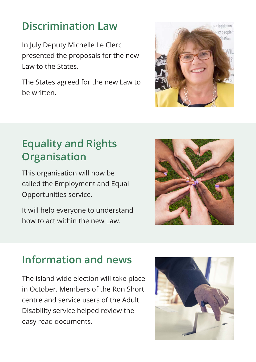### **Discrimination Law**

In July Deputy Michelle Le Clerc presented the proposals for the new Law to the States.

The States agreed for the new Law to be written.



# **Equality and Rights Organisation**

This organisation will now be called the Employment and Equal Opportunities service.

It will help everyone to understand how to act within the new Law.



# **Information and news**

The island wide election will take place in October. Members of the Ron Short centre and service users of the Adult Disability service helped review the easy read documents.

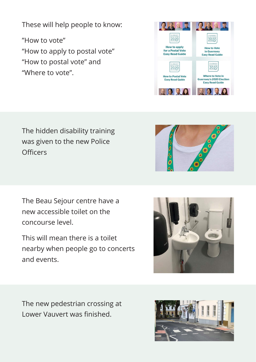These will help people to know:

"How to vote" "How to apply to postal vote" "How to postal vote" and "Where to vote".



#### The hidden disability training was given to the new Police **Officers**

The Beau Sejour centre have a new accessible toilet on the concourse level.

This will mean there is a toilet nearby when people go to concerts and events.



The new pedestrian crossing at Lower Vauvert was finished.

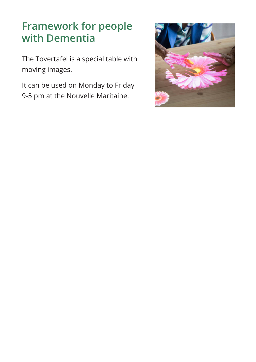### **Framework for people with Dementia**

The Tovertafel is a special table with moving images.

It can be used on Monday to Friday 9-5 pm at the Nouvelle Maritaine.